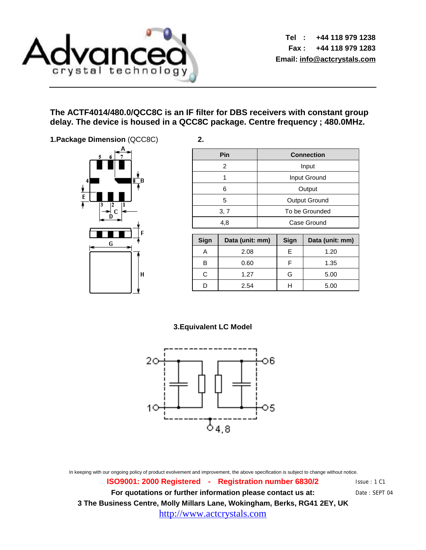

**Tel : +44 118 979 1238 Fax : +44 118 979 1283 Email: [info@actcrystals.com](mailto:info@actcrystals.com)**

> Issue : 1 C1 Date : SEPT 04

### **The ACTF4014/480.0/QCC8C is an IF filter for DBS receivers with constant group delay. The device is housed in a QCC8C package. Centre frequency ; 480.0MHz.**

**1.Package Dimension** (QCC8C) **2.** 



| Pin  | <b>Connection</b> |  |  |  |
|------|-------------------|--|--|--|
| 2    | Input             |  |  |  |
|      | Input Ground      |  |  |  |
| 6    | Output            |  |  |  |
| 5    | Output Ground     |  |  |  |
| 3, 7 | To be Grounded    |  |  |  |
| 4,8  | Case Ground       |  |  |  |
|      |                   |  |  |  |
|      |                   |  |  |  |

| Sign | Data (unit: mm) | Sign | Data (unit: mm) |
|------|-----------------|------|-----------------|
|      | 2.08            | F    | 1.20            |
| в    | 0.60            |      | 1.35            |
| C.   | 1.27            | G    | 5.00            |
|      | 2.54            |      | 5.00            |

### **3.Equivalent LC Model**



In keeping with our ongoing policy of product evolvement and improvement, the above specification is subject to change without notice.

**ISO9001: 2000 Registered - Registration number 6830/2 For quotations or further information please contact us at: 3 The Business Centre, Molly Millars Lane, Wokingham, Berks, RG41 2EY, UK** <http://www.actcrystals.com>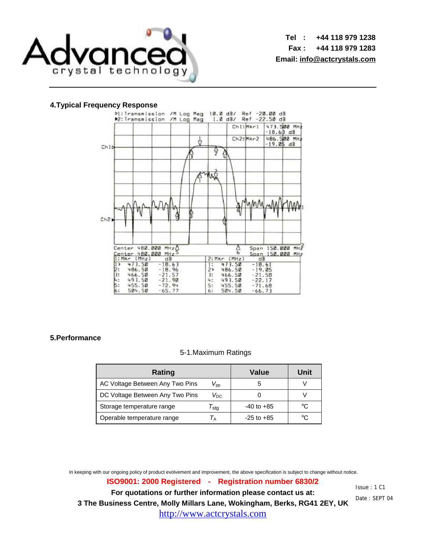

**Tel : +44 118 979 1238 Fax : +44 118 979 1283 Email: [info@actcrystals.com](mailto:info@actcrystals.com)**

#### **4.Typical Frequency Response**



#### **5.Performance**

#### 5-1.Maximum Ratings

| Rating                          | <b>Value</b>          | Unit           |    |
|---------------------------------|-----------------------|----------------|----|
| AC Voltage Between Any Two Pins | $V_{\sf DD}$          | b              |    |
| DC Voltage Between Any Two Pins | $V_{DC}$              |                |    |
| Storage temperature range       | $\tau_{\textsf{stg}}$ | $-40$ to $+85$ | ി∘ |
| Operable temperature range      |                       | $-25$ to $+85$ | ∘∩ |

In keeping with our ongoing policy of product evolvement and improvement, the above specification is subject to change without notice.

**ISO9001: 2000 Registered - Registration number 6830/2 For quotations or further information please contact us at: 3 The Business Centre, Molly Millars Lane, Wokingham, Berks, RG41 2EY, UK** <http://www.actcrystals.com>

Issue : 1 C1 Date : SEPT 04